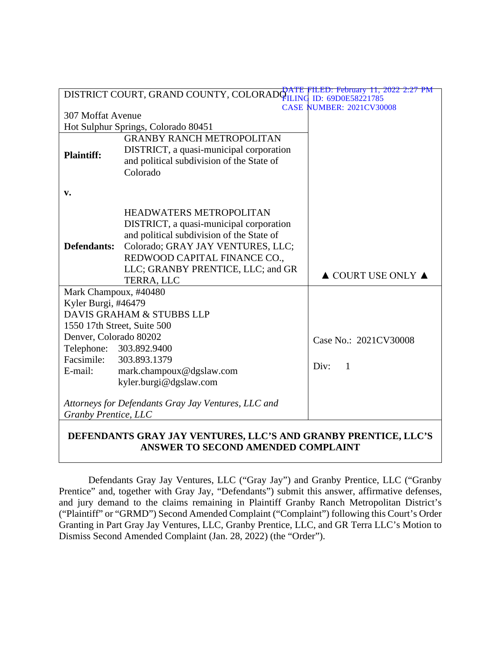| FILED: February 11, 2022 2:27 PM<br>DISTRICT COURT, GRAND COUNTY, COLORADOR TIME<br>ID: 69D0E58221785<br>FILING |                                           |                                        |
|-----------------------------------------------------------------------------------------------------------------|-------------------------------------------|----------------------------------------|
| <b>CASE NUMBER: 2021CV30008</b>                                                                                 |                                           |                                        |
| <b>307 Moffat Avenue</b>                                                                                        |                                           |                                        |
| Hot Sulphur Springs, Colorado 80451                                                                             |                                           |                                        |
|                                                                                                                 | <b>GRANBY RANCH METROPOLITAN</b>          |                                        |
| <b>Plaintiff:</b>                                                                                               | DISTRICT, a quasi-municipal corporation   |                                        |
|                                                                                                                 | and political subdivision of the State of |                                        |
|                                                                                                                 | Colorado                                  |                                        |
|                                                                                                                 |                                           |                                        |
| v.                                                                                                              |                                           |                                        |
|                                                                                                                 | <b>HEADWATERS METROPOLITAN</b>            |                                        |
|                                                                                                                 | DISTRICT, a quasi-municipal corporation   |                                        |
|                                                                                                                 | and political subdivision of the State of |                                        |
| Defendants:                                                                                                     | Colorado; GRAY JAY VENTURES, LLC;         |                                        |
|                                                                                                                 | REDWOOD CAPITAL FINANCE CO.,              |                                        |
|                                                                                                                 | LLC; GRANBY PRENTICE, LLC; and GR         |                                        |
|                                                                                                                 | TERRA, LLC                                | $\triangle$ COURT USE ONLY $\triangle$ |
| Mark Champoux, #40480                                                                                           |                                           |                                        |
| Kyler Burgi, #46479                                                                                             |                                           |                                        |
| DAVIS GRAHAM & STUBBS LLP                                                                                       |                                           |                                        |
| 1550 17th Street, Suite 500                                                                                     |                                           |                                        |
| Denver, Colorado 80202                                                                                          |                                           | Case No.: 2021CV30008                  |
|                                                                                                                 | Telephone: 303.892.9400                   |                                        |
| Facsimile:                                                                                                      | 303.893.1379                              | Div:<br>$\overline{1}$                 |
| E-mail:                                                                                                         | mark.champoux@dgslaw.com                  |                                        |
|                                                                                                                 | kyler.burgi@dgslaw.com                    |                                        |
| Attorneys for Defendants Gray Jay Ventures, LLC and                                                             |                                           |                                        |
| Granby Prentice, LLC                                                                                            |                                           |                                        |
|                                                                                                                 |                                           |                                        |
| DEFENDANTS GRAY JAY VENTURES, LLC'S AND GRANBY PRENTICE, LLC'S                                                  |                                           |                                        |

# **ANSWER TO SECOND AMENDED COMPLAINT**

Defendants Gray Jay Ventures, LLC ("Gray Jay") and Granby Prentice, LLC ("Granby Prentice" and, together with Gray Jay, "Defendants") submit this answer, affirmative defenses, and jury demand to the claims remaining in Plaintiff Granby Ranch Metropolitan District's ("Plaintiff" or "GRMD") Second Amended Complaint ("Complaint") following this Court's Order Granting in Part Gray Jay Ventures, LLC, Granby Prentice, LLC, and GR Terra LLC's Motion to Dismiss Second Amended Complaint (Jan. 28, 2022) (the "Order").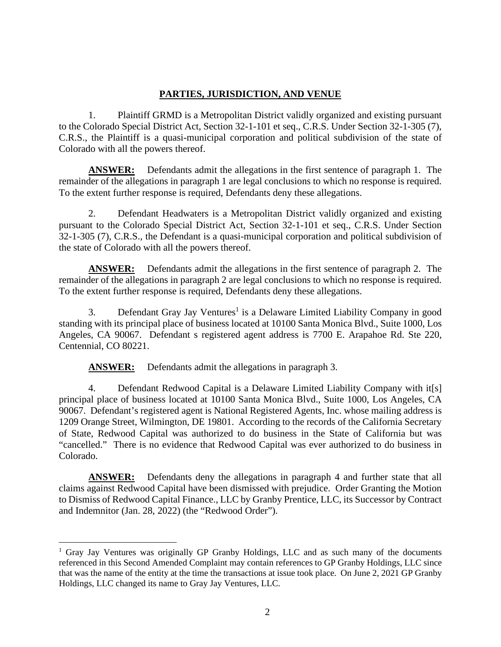# **PARTIES, JURISDICTION, AND VENUE**

1. Plaintiff GRMD is a Metropolitan District validly organized and existing pursuant to the Colorado Special District Act, Section 32-1-101 et seq., C.R.S. Under Section 32-1-305 (7), C.R.S., the Plaintiff is a quasi-municipal corporation and political subdivision of the state of Colorado with all the powers thereof.

**ANSWER:** Defendants admit the allegations in the first sentence of paragraph 1. The remainder of the allegations in paragraph 1 are legal conclusions to which no response is required. To the extent further response is required, Defendants deny these allegations.

2. Defendant Headwaters is a Metropolitan District validly organized and existing pursuant to the Colorado Special District Act, Section 32-1-101 et seq., C.R.S. Under Section 32-1-305 (7), C.R.S., the Defendant is a quasi-municipal corporation and political subdivision of the state of Colorado with all the powers thereof.

**ANSWER:** Defendants admit the allegations in the first sentence of paragraph 2. The remainder of the allegations in paragraph 2 are legal conclusions to which no response is required. To the extent further response is required, Defendants deny these allegations.

3. Defendant Gray Jay Ventures<sup>1</sup> is a Delaware Limited Liability Company in good standing with its principal place of business located at 10100 Santa Monica Blvd., Suite 1000, Los Angeles, CA 90067. Defendant s registered agent address is 7700 E. Arapahoe Rd. Ste 220, Centennial, CO 80221.

**ANSWER:** Defendants admit the allegations in paragraph 3.

4. Defendant Redwood Capital is a Delaware Limited Liability Company with it[s] principal place of business located at 10100 Santa Monica Blvd., Suite 1000, Los Angeles, CA 90067. Defendant's registered agent is National Registered Agents, Inc. whose mailing address is 1209 Orange Street, Wilmington, DE 19801. According to the records of the California Secretary of State, Redwood Capital was authorized to do business in the State of California but was "cancelled." There is no evidence that Redwood Capital was ever authorized to do business in Colorado.

**ANSWER:** Defendants deny the allegations in paragraph 4 and further state that all claims against Redwood Capital have been dismissed with prejudice. Order Granting the Motion to Dismiss of Redwood Capital Finance., LLC by Granby Prentice, LLC, its Successor by Contract and Indemnitor (Jan. 28, 2022) (the "Redwood Order").

<sup>&</sup>lt;sup>1</sup> Gray Jay Ventures was originally GP Granby Holdings, LLC and as such many of the documents referenced in this Second Amended Complaint may contain references to GP Granby Holdings, LLC since that was the name of the entity at the time the transactions at issue took place. On June 2, 2021 GP Granby Holdings, LLC changed its name to Gray Jay Ventures, LLC.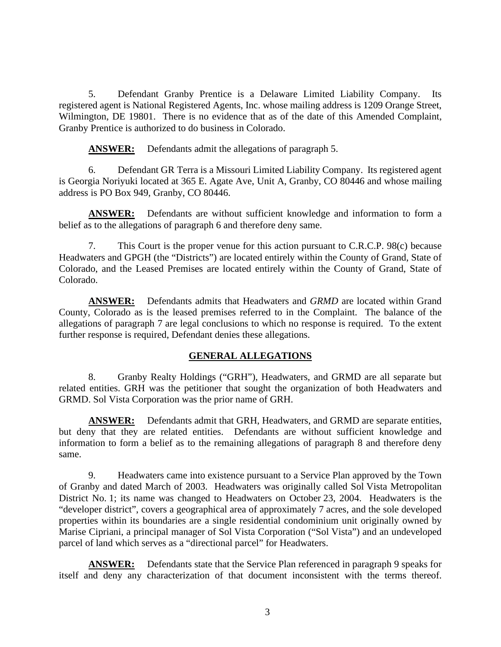5. Defendant Granby Prentice is a Delaware Limited Liability Company. Its registered agent is National Registered Agents, Inc. whose mailing address is 1209 Orange Street, Wilmington, DE 19801. There is no evidence that as of the date of this Amended Complaint, Granby Prentice is authorized to do business in Colorado.

**ANSWER:** Defendants admit the allegations of paragraph 5.

6. Defendant GR Terra is a Missouri Limited Liability Company. Its registered agent is Georgia Noriyuki located at 365 E. Agate Ave, Unit A, Granby, CO 80446 and whose mailing address is PO Box 949, Granby, CO 80446.

**ANSWER:** Defendants are without sufficient knowledge and information to form a belief as to the allegations of paragraph 6 and therefore deny same.

7. This Court is the proper venue for this action pursuant to C.R.C.P. 98(c) because Headwaters and GPGH (the "Districts") are located entirely within the County of Grand, State of Colorado, and the Leased Premises are located entirely within the County of Grand, State of Colorado.

**ANSWER:** Defendants admits that Headwaters and *GRMD* are located within Grand County, Colorado as is the leased premises referred to in the Complaint. The balance of the allegations of paragraph 7 are legal conclusions to which no response is required. To the extent further response is required, Defendant denies these allegations.

# **GENERAL ALLEGATIONS**

8. Granby Realty Holdings ("GRH"), Headwaters, and GRMD are all separate but related entities. GRH was the petitioner that sought the organization of both Headwaters and GRMD. Sol Vista Corporation was the prior name of GRH.

**ANSWER:** Defendants admit that GRH, Headwaters, and GRMD are separate entities, but deny that they are related entities. Defendants are without sufficient knowledge and information to form a belief as to the remaining allegations of paragraph 8 and therefore deny same.

9. Headwaters came into existence pursuant to a Service Plan approved by the Town of Granby and dated March of 2003. Headwaters was originally called Sol Vista Metropolitan District No. 1; its name was changed to Headwaters on October 23, 2004. Headwaters is the "developer district", covers a geographical area of approximately 7 acres, and the sole developed properties within its boundaries are a single residential condominium unit originally owned by Marise Cipriani, a principal manager of Sol Vista Corporation ("Sol Vista") and an undeveloped parcel of land which serves as a "directional parcel" for Headwaters.

**ANSWER:** Defendants state that the Service Plan referenced in paragraph 9 speaks for itself and deny any characterization of that document inconsistent with the terms thereof.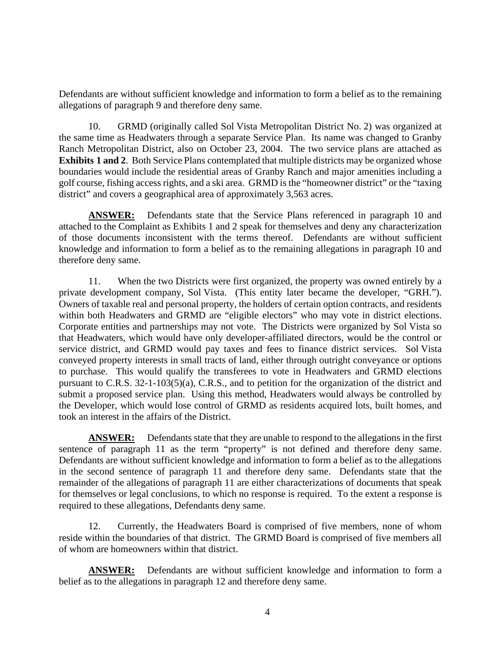Defendants are without sufficient knowledge and information to form a belief as to the remaining allegations of paragraph 9 and therefore deny same.

10. GRMD (originally called Sol Vista Metropolitan District No. 2) was organized at the same time as Headwaters through a separate Service Plan. Its name was changed to Granby Ranch Metropolitan District, also on October 23, 2004. The two service plans are attached as **Exhibits 1 and 2**. Both Service Plans contemplated that multiple districts may be organized whose boundaries would include the residential areas of Granby Ranch and major amenities including a golf course, fishing access rights, and a ski area. GRMD is the "homeowner district" or the "taxing district" and covers a geographical area of approximately 3,563 acres.

**ANSWER:** Defendants state that the Service Plans referenced in paragraph 10 and attached to the Complaint as Exhibits 1 and 2 speak for themselves and deny any characterization of those documents inconsistent with the terms thereof. Defendants are without sufficient knowledge and information to form a belief as to the remaining allegations in paragraph 10 and therefore deny same.

11. When the two Districts were first organized, the property was owned entirely by a private development company, Sol Vista. (This entity later became the developer, "GRH."). Owners of taxable real and personal property, the holders of certain option contracts, and residents within both Headwaters and GRMD are "eligible electors" who may vote in district elections. Corporate entities and partnerships may not vote. The Districts were organized by Sol Vista so that Headwaters, which would have only developer-affiliated directors, would be the control or service district, and GRMD would pay taxes and fees to finance district services. Sol Vista conveyed property interests in small tracts of land, either through outright conveyance or options to purchase. This would qualify the transferees to vote in Headwaters and GRMD elections pursuant to C.R.S. 32-1-103(5)(a), C.R.S., and to petition for the organization of the district and submit a proposed service plan. Using this method, Headwaters would always be controlled by the Developer, which would lose control of GRMD as residents acquired lots, built homes, and took an interest in the affairs of the District.

**ANSWER:** Defendants state that they are unable to respond to the allegations in the first sentence of paragraph 11 as the term "property" is not defined and therefore deny same. Defendants are without sufficient knowledge and information to form a belief as to the allegations in the second sentence of paragraph 11 and therefore deny same. Defendants state that the remainder of the allegations of paragraph 11 are either characterizations of documents that speak for themselves or legal conclusions, to which no response is required. To the extent a response is required to these allegations, Defendants deny same.

12. Currently, the Headwaters Board is comprised of five members, none of whom reside within the boundaries of that district. The GRMD Board is comprised of five members all of whom are homeowners within that district.

**ANSWER:** Defendants are without sufficient knowledge and information to form a belief as to the allegations in paragraph 12 and therefore deny same.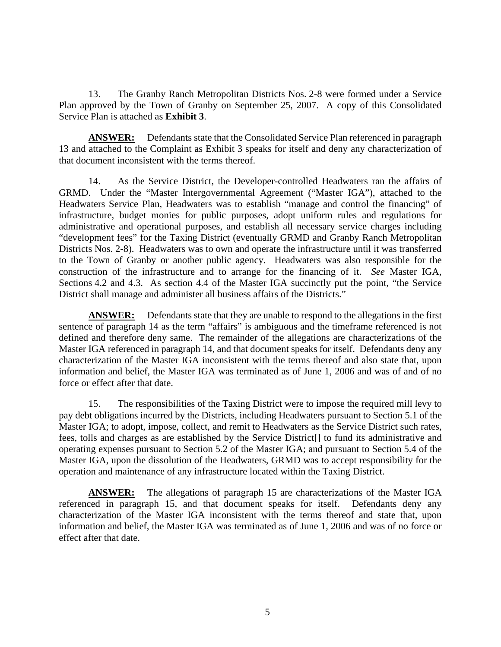13. The Granby Ranch Metropolitan Districts Nos. 2-8 were formed under a Service Plan approved by the Town of Granby on September 25, 2007. A copy of this Consolidated Service Plan is attached as **Exhibit 3**.

**ANSWER:** Defendants state that the Consolidated Service Plan referenced in paragraph 13 and attached to the Complaint as Exhibit 3 speaks for itself and deny any characterization of that document inconsistent with the terms thereof.

14. As the Service District, the Developer-controlled Headwaters ran the affairs of GRMD. Under the "Master Intergovernmental Agreement ("Master IGA"), attached to the Headwaters Service Plan, Headwaters was to establish "manage and control the financing" of infrastructure, budget monies for public purposes, adopt uniform rules and regulations for administrative and operational purposes, and establish all necessary service charges including "development fees" for the Taxing District (eventually GRMD and Granby Ranch Metropolitan Districts Nos. 2-8). Headwaters was to own and operate the infrastructure until it was transferred to the Town of Granby or another public agency. Headwaters was also responsible for the construction of the infrastructure and to arrange for the financing of it. *See* Master IGA, Sections 4.2 and 4.3. As section 4.4 of the Master IGA succinctly put the point, "the Service District shall manage and administer all business affairs of the Districts."

**ANSWER:** Defendants state that they are unable to respond to the allegations in the first sentence of paragraph 14 as the term "affairs" is ambiguous and the timeframe referenced is not defined and therefore deny same. The remainder of the allegations are characterizations of the Master IGA referenced in paragraph 14, and that document speaks for itself. Defendants deny any characterization of the Master IGA inconsistent with the terms thereof and also state that, upon information and belief, the Master IGA was terminated as of June 1, 2006 and was of and of no force or effect after that date.

15. The responsibilities of the Taxing District were to impose the required mill levy to pay debt obligations incurred by the Districts, including Headwaters pursuant to Section 5.1 of the Master IGA; to adopt, impose, collect, and remit to Headwaters as the Service District such rates, fees, tolls and charges as are established by the Service District[] to fund its administrative and operating expenses pursuant to Section 5.2 of the Master IGA; and pursuant to Section 5.4 of the Master IGA, upon the dissolution of the Headwaters, GRMD was to accept responsibility for the operation and maintenance of any infrastructure located within the Taxing District.

**ANSWER:** The allegations of paragraph 15 are characterizations of the Master IGA referenced in paragraph 15, and that document speaks for itself. Defendants deny any characterization of the Master IGA inconsistent with the terms thereof and state that, upon information and belief, the Master IGA was terminated as of June 1, 2006 and was of no force or effect after that date.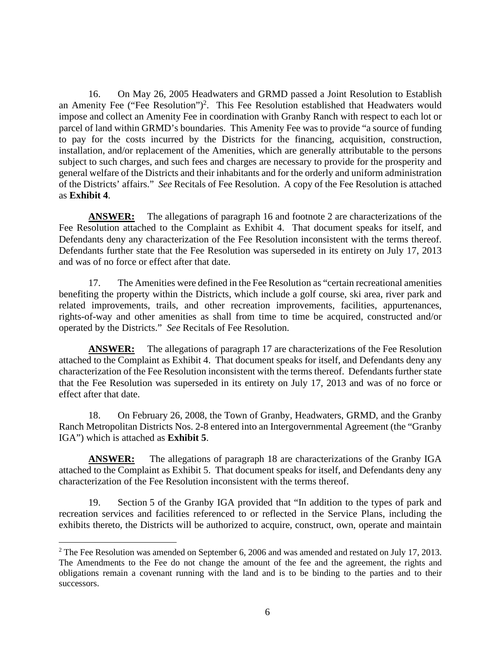16. On May 26, 2005 Headwaters and GRMD passed a Joint Resolution to Establish an Amenity Fee ("Fee Resolution")<sup>2</sup>. This Fee Resolution established that Headwaters would impose and collect an Amenity Fee in coordination with Granby Ranch with respect to each lot or parcel of land within GRMD's boundaries. This Amenity Fee was to provide "a source of funding to pay for the costs incurred by the Districts for the financing, acquisition, construction, installation, and/or replacement of the Amenities, which are generally attributable to the persons subject to such charges, and such fees and charges are necessary to provide for the prosperity and general welfare of the Districts and their inhabitants and for the orderly and uniform administration of the Districts' affairs." *See* Recitals of Fee Resolution. A copy of the Fee Resolution is attached as **Exhibit 4**.

**ANSWER:** The allegations of paragraph 16 and footnote 2 are characterizations of the Fee Resolution attached to the Complaint as Exhibit 4. That document speaks for itself, and Defendants deny any characterization of the Fee Resolution inconsistent with the terms thereof. Defendants further state that the Fee Resolution was superseded in its entirety on July 17, 2013 and was of no force or effect after that date.

17. The Amenities were defined in the Fee Resolution as "certain recreational amenities benefiting the property within the Districts, which include a golf course, ski area, river park and related improvements, trails, and other recreation improvements, facilities, appurtenances, rights-of-way and other amenities as shall from time to time be acquired, constructed and/or operated by the Districts." *See* Recitals of Fee Resolution.

**ANSWER:** The allegations of paragraph 17 are characterizations of the Fee Resolution attached to the Complaint as Exhibit 4. That document speaks for itself, and Defendants deny any characterization of the Fee Resolution inconsistent with the terms thereof. Defendants further state that the Fee Resolution was superseded in its entirety on July 17, 2013 and was of no force or effect after that date.

18. On February 26, 2008, the Town of Granby, Headwaters, GRMD, and the Granby Ranch Metropolitan Districts Nos. 2-8 entered into an Intergovernmental Agreement (the "Granby IGA") which is attached as **Exhibit 5**.

**ANSWER:** The allegations of paragraph 18 are characterizations of the Granby IGA attached to the Complaint as Exhibit 5. That document speaks for itself, and Defendants deny any characterization of the Fee Resolution inconsistent with the terms thereof.

19. Section 5 of the Granby IGA provided that "In addition to the types of park and recreation services and facilities referenced to or reflected in the Service Plans, including the exhibits thereto, the Districts will be authorized to acquire, construct, own, operate and maintain

 $2$  The Fee Resolution was amended on September 6, 2006 and was amended and restated on July 17, 2013. The Amendments to the Fee do not change the amount of the fee and the agreement, the rights and obligations remain a covenant running with the land and is to be binding to the parties and to their successors.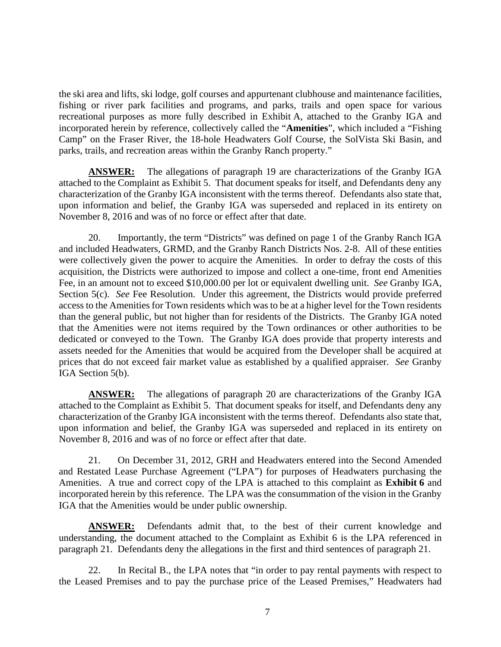the ski area and lifts, ski lodge, golf courses and appurtenant clubhouse and maintenance facilities, fishing or river park facilities and programs, and parks, trails and open space for various recreational purposes as more fully described in Exhibit A, attached to the Granby IGA and incorporated herein by reference, collectively called the "**Amenities**", which included a "Fishing Camp" on the Fraser River, the 18-hole Headwaters Golf Course, the SolVista Ski Basin, and parks, trails, and recreation areas within the Granby Ranch property."

**ANSWER:** The allegations of paragraph 19 are characterizations of the Granby IGA attached to the Complaint as Exhibit 5. That document speaks for itself, and Defendants deny any characterization of the Granby IGA inconsistent with the terms thereof. Defendants also state that, upon information and belief, the Granby IGA was superseded and replaced in its entirety on November 8, 2016 and was of no force or effect after that date.

20. Importantly, the term "Districts" was defined on page 1 of the Granby Ranch IGA and included Headwaters, GRMD, and the Granby Ranch Districts Nos. 2-8. All of these entities were collectively given the power to acquire the Amenities. In order to defray the costs of this acquisition, the Districts were authorized to impose and collect a one-time, front end Amenities Fee, in an amount not to exceed \$10,000.00 per lot or equivalent dwelling unit. *See* Granby IGA, Section 5(c). *See* Fee Resolution. Under this agreement, the Districts would provide preferred access to the Amenities for Town residents which was to be at a higher level for the Town residents than the general public, but not higher than for residents of the Districts. The Granby IGA noted that the Amenities were not items required by the Town ordinances or other authorities to be dedicated or conveyed to the Town. The Granby IGA does provide that property interests and assets needed for the Amenities that would be acquired from the Developer shall be acquired at prices that do not exceed fair market value as established by a qualified appraiser. *See* Granby IGA Section 5(b).

**ANSWER:** The allegations of paragraph 20 are characterizations of the Granby IGA attached to the Complaint as Exhibit 5. That document speaks for itself, and Defendants deny any characterization of the Granby IGA inconsistent with the terms thereof. Defendants also state that, upon information and belief, the Granby IGA was superseded and replaced in its entirety on November 8, 2016 and was of no force or effect after that date.

21. On December 31, 2012, GRH and Headwaters entered into the Second Amended and Restated Lease Purchase Agreement ("LPA") for purposes of Headwaters purchasing the Amenities. A true and correct copy of the LPA is attached to this complaint as **Exhibit 6** and incorporated herein by this reference. The LPA was the consummation of the vision in the Granby IGA that the Amenities would be under public ownership.

**ANSWER:** Defendants admit that, to the best of their current knowledge and understanding, the document attached to the Complaint as Exhibit 6 is the LPA referenced in paragraph 21. Defendants deny the allegations in the first and third sentences of paragraph 21.

22. In Recital B., the LPA notes that "in order to pay rental payments with respect to the Leased Premises and to pay the purchase price of the Leased Premises," Headwaters had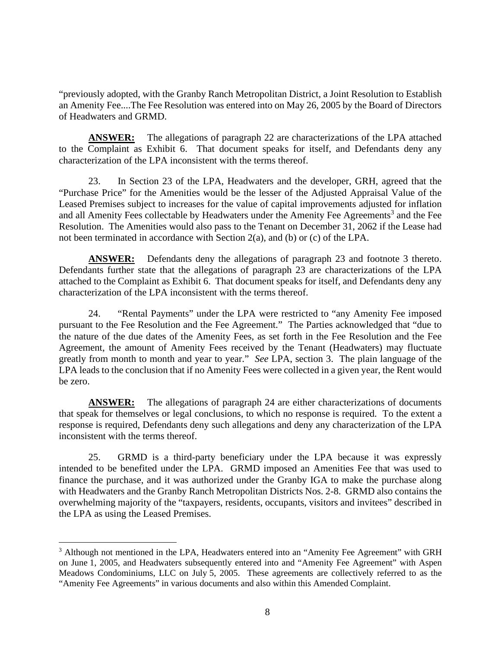"previously adopted, with the Granby Ranch Metropolitan District, a Joint Resolution to Establish an Amenity Fee....The Fee Resolution was entered into on May 26, 2005 by the Board of Directors of Headwaters and GRMD.

**ANSWER:** The allegations of paragraph 22 are characterizations of the LPA attached to the Complaint as Exhibit 6. That document speaks for itself, and Defendants deny any characterization of the LPA inconsistent with the terms thereof.

23. In Section 23 of the LPA, Headwaters and the developer, GRH, agreed that the "Purchase Price" for the Amenities would be the lesser of the Adjusted Appraisal Value of the Leased Premises subject to increases for the value of capital improvements adjusted for inflation and all Amenity Fees collectable by Headwaters under the Amenity Fee Agreements<sup>3</sup> and the Fee Resolution. The Amenities would also pass to the Tenant on December 31, 2062 if the Lease had not been terminated in accordance with Section 2(a), and (b) or (c) of the LPA.

**ANSWER:** Defendants deny the allegations of paragraph 23 and footnote 3 thereto. Defendants further state that the allegations of paragraph 23 are characterizations of the LPA attached to the Complaint as Exhibit 6. That document speaks for itself, and Defendants deny any characterization of the LPA inconsistent with the terms thereof.

24. "Rental Payments" under the LPA were restricted to "any Amenity Fee imposed pursuant to the Fee Resolution and the Fee Agreement." The Parties acknowledged that "due to the nature of the due dates of the Amenity Fees, as set forth in the Fee Resolution and the Fee Agreement, the amount of Amenity Fees received by the Tenant (Headwaters) may fluctuate greatly from month to month and year to year." *See* LPA, section 3. The plain language of the LPA leads to the conclusion that if no Amenity Fees were collected in a given year, the Rent would be zero.

**ANSWER:** The allegations of paragraph 24 are either characterizations of documents that speak for themselves or legal conclusions, to which no response is required. To the extent a response is required, Defendants deny such allegations and deny any characterization of the LPA inconsistent with the terms thereof.

25. GRMD is a third-party beneficiary under the LPA because it was expressly intended to be benefited under the LPA. GRMD imposed an Amenities Fee that was used to finance the purchase, and it was authorized under the Granby IGA to make the purchase along with Headwaters and the Granby Ranch Metropolitan Districts Nos. 2-8. GRMD also contains the overwhelming majority of the "taxpayers, residents, occupants, visitors and invitees" described in the LPA as using the Leased Premises.

<sup>&</sup>lt;sup>3</sup> Although not mentioned in the LPA, Headwaters entered into an "Amenity Fee Agreement" with GRH on June 1, 2005, and Headwaters subsequently entered into and "Amenity Fee Agreement" with Aspen Meadows Condominiums, LLC on July 5, 2005. These agreements are collectively referred to as the "Amenity Fee Agreements" in various documents and also within this Amended Complaint.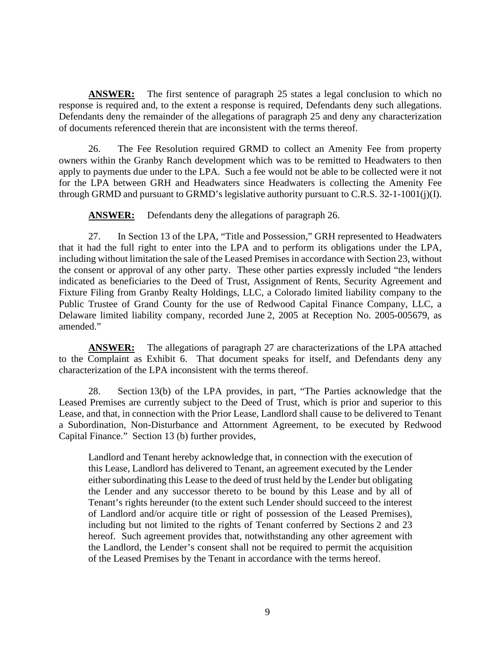**ANSWER:** The first sentence of paragraph 25 states a legal conclusion to which no response is required and, to the extent a response is required, Defendants deny such allegations. Defendants deny the remainder of the allegations of paragraph 25 and deny any characterization of documents referenced therein that are inconsistent with the terms thereof.

26. The Fee Resolution required GRMD to collect an Amenity Fee from property owners within the Granby Ranch development which was to be remitted to Headwaters to then apply to payments due under to the LPA. Such a fee would not be able to be collected were it not for the LPA between GRH and Headwaters since Headwaters is collecting the Amenity Fee through GRMD and pursuant to GRMD's legislative authority pursuant to C.R.S. 32-1-1001(j)(I).

**ANSWER:** Defendants deny the allegations of paragraph 26.

27. In Section 13 of the LPA, "Title and Possession," GRH represented to Headwaters that it had the full right to enter into the LPA and to perform its obligations under the LPA, including without limitation the sale of the Leased Premises in accordance with Section 23, without the consent or approval of any other party. These other parties expressly included "the lenders indicated as beneficiaries to the Deed of Trust, Assignment of Rents, Security Agreement and Fixture Filing from Granby Realty Holdings, LLC, a Colorado limited liability company to the Public Trustee of Grand County for the use of Redwood Capital Finance Company, LLC, a Delaware limited liability company, recorded June 2, 2005 at Reception No. 2005-005679, as amended."

**ANSWER:** The allegations of paragraph 27 are characterizations of the LPA attached to the Complaint as Exhibit 6. That document speaks for itself, and Defendants deny any characterization of the LPA inconsistent with the terms thereof.

28. Section 13(b) of the LPA provides, in part, "The Parties acknowledge that the Leased Premises are currently subject to the Deed of Trust, which is prior and superior to this Lease, and that, in connection with the Prior Lease, Landlord shall cause to be delivered to Tenant a Subordination, Non-Disturbance and Attornment Agreement, to be executed by Redwood Capital Finance." Section 13 (b) further provides,

Landlord and Tenant hereby acknowledge that, in connection with the execution of this Lease, Landlord has delivered to Tenant, an agreement executed by the Lender either subordinating this Lease to the deed of trust held by the Lender but obligating the Lender and any successor thereto to be bound by this Lease and by all of Tenant's rights hereunder (to the extent such Lender should succeed to the interest of Landlord and/or acquire title or right of possession of the Leased Premises), including but not limited to the rights of Tenant conferred by Sections 2 and 23 hereof. Such agreement provides that, notwithstanding any other agreement with the Landlord, the Lender's consent shall not be required to permit the acquisition of the Leased Premises by the Tenant in accordance with the terms hereof.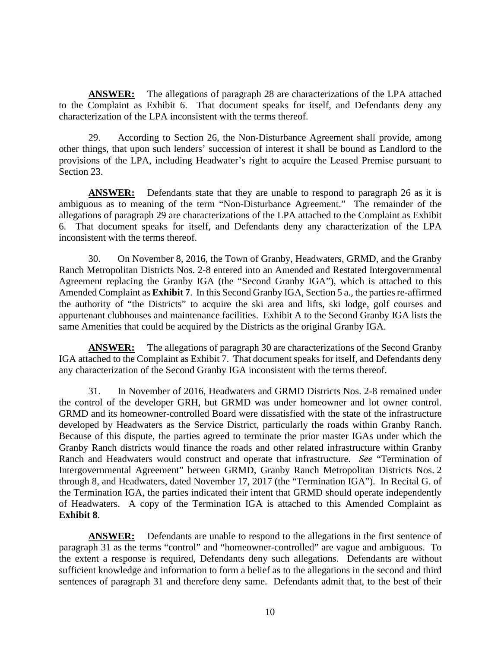**ANSWER:** The allegations of paragraph 28 are characterizations of the LPA attached to the Complaint as Exhibit 6. That document speaks for itself, and Defendants deny any characterization of the LPA inconsistent with the terms thereof.

29. According to Section 26, the Non-Disturbance Agreement shall provide, among other things, that upon such lenders' succession of interest it shall be bound as Landlord to the provisions of the LPA, including Headwater's right to acquire the Leased Premise pursuant to Section 23.

**ANSWER:** Defendants state that they are unable to respond to paragraph 26 as it is ambiguous as to meaning of the term "Non-Disturbance Agreement." The remainder of the allegations of paragraph 29 are characterizations of the LPA attached to the Complaint as Exhibit 6. That document speaks for itself, and Defendants deny any characterization of the LPA inconsistent with the terms thereof.

30. On November 8, 2016, the Town of Granby, Headwaters, GRMD, and the Granby Ranch Metropolitan Districts Nos. 2-8 entered into an Amended and Restated Intergovernmental Agreement replacing the Granby IGA (the "Second Granby IGA"), which is attached to this Amended Complaint as **Exhibit 7**. In this Second Granby IGA, Section 5 a., the parties re-affirmed the authority of "the Districts" to acquire the ski area and lifts, ski lodge, golf courses and appurtenant clubhouses and maintenance facilities. Exhibit A to the Second Granby IGA lists the same Amenities that could be acquired by the Districts as the original Granby IGA.

**ANSWER:** The allegations of paragraph 30 are characterizations of the Second Granby IGA attached to the Complaint as Exhibit 7. That document speaks for itself, and Defendants deny any characterization of the Second Granby IGA inconsistent with the terms thereof.

31. In November of 2016, Headwaters and GRMD Districts Nos. 2-8 remained under the control of the developer GRH, but GRMD was under homeowner and lot owner control. GRMD and its homeowner-controlled Board were dissatisfied with the state of the infrastructure developed by Headwaters as the Service District, particularly the roads within Granby Ranch. Because of this dispute, the parties agreed to terminate the prior master IGAs under which the Granby Ranch districts would finance the roads and other related infrastructure within Granby Ranch and Headwaters would construct and operate that infrastructure. *See* "Termination of Intergovernmental Agreement" between GRMD, Granby Ranch Metropolitan Districts Nos. 2 through 8, and Headwaters, dated November 17, 2017 (the "Termination IGA"). In Recital G. of the Termination IGA, the parties indicated their intent that GRMD should operate independently of Headwaters. A copy of the Termination IGA is attached to this Amended Complaint as **Exhibit 8**.

**ANSWER:** Defendants are unable to respond to the allegations in the first sentence of paragraph 31 as the terms "control" and "homeowner-controlled" are vague and ambiguous. To the extent a response is required, Defendants deny such allegations. Defendants are without sufficient knowledge and information to form a belief as to the allegations in the second and third sentences of paragraph 31 and therefore deny same. Defendants admit that, to the best of their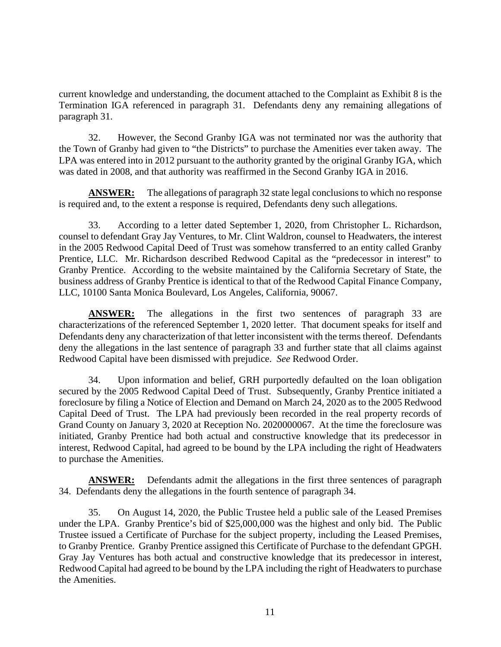current knowledge and understanding, the document attached to the Complaint as Exhibit 8 is the Termination IGA referenced in paragraph 31. Defendants deny any remaining allegations of paragraph 31.

32. However, the Second Granby IGA was not terminated nor was the authority that the Town of Granby had given to "the Districts" to purchase the Amenities ever taken away. The LPA was entered into in 2012 pursuant to the authority granted by the original Granby IGA, which was dated in 2008, and that authority was reaffirmed in the Second Granby IGA in 2016.

**ANSWER:** The allegations of paragraph 32 state legal conclusions to which no response is required and, to the extent a response is required, Defendants deny such allegations.

33. According to a letter dated September 1, 2020, from Christopher L. Richardson, counsel to defendant Gray Jay Ventures, to Mr. Clint Waldron, counsel to Headwaters, the interest in the 2005 Redwood Capital Deed of Trust was somehow transferred to an entity called Granby Prentice, LLC. Mr. Richardson described Redwood Capital as the "predecessor in interest" to Granby Prentice. According to the website maintained by the California Secretary of State, the business address of Granby Prentice is identical to that of the Redwood Capital Finance Company, LLC, 10100 Santa Monica Boulevard, Los Angeles, California, 90067.

**ANSWER:** The allegations in the first two sentences of paragraph 33 are characterizations of the referenced September 1, 2020 letter. That document speaks for itself and Defendants deny any characterization of that letter inconsistent with the terms thereof. Defendants deny the allegations in the last sentence of paragraph 33 and further state that all claims against Redwood Capital have been dismissed with prejudice. *See* Redwood Order.

34. Upon information and belief, GRH purportedly defaulted on the loan obligation secured by the 2005 Redwood Capital Deed of Trust. Subsequently, Granby Prentice initiated a foreclosure by filing a Notice of Election and Demand on March 24, 2020 as to the 2005 Redwood Capital Deed of Trust. The LPA had previously been recorded in the real property records of Grand County on January 3, 2020 at Reception No. 2020000067. At the time the foreclosure was initiated, Granby Prentice had both actual and constructive knowledge that its predecessor in interest, Redwood Capital, had agreed to be bound by the LPA including the right of Headwaters to purchase the Amenities.

**ANSWER:** Defendants admit the allegations in the first three sentences of paragraph 34. Defendants deny the allegations in the fourth sentence of paragraph 34.

35. On August 14, 2020, the Public Trustee held a public sale of the Leased Premises under the LPA. Granby Prentice's bid of \$25,000,000 was the highest and only bid. The Public Trustee issued a Certificate of Purchase for the subject property, including the Leased Premises, to Granby Prentice. Granby Prentice assigned this Certificate of Purchase to the defendant GPGH. Gray Jay Ventures has both actual and constructive knowledge that its predecessor in interest, Redwood Capital had agreed to be bound by the LPA including the right of Headwaters to purchase the Amenities.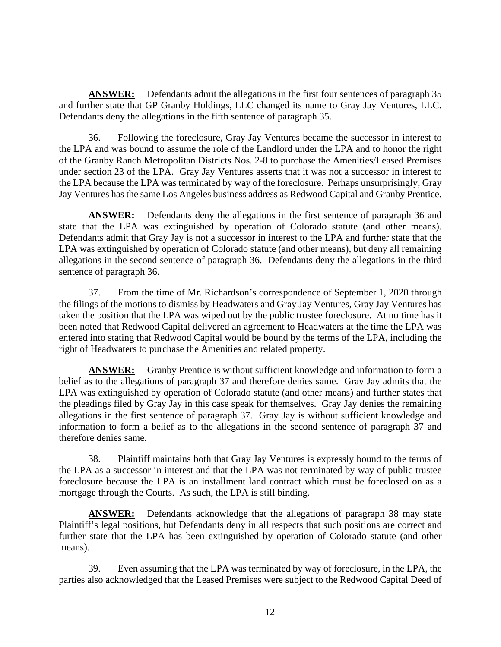**ANSWER:** Defendants admit the allegations in the first four sentences of paragraph 35 and further state that GP Granby Holdings, LLC changed its name to Gray Jay Ventures, LLC. Defendants deny the allegations in the fifth sentence of paragraph 35.

36. Following the foreclosure, Gray Jay Ventures became the successor in interest to the LPA and was bound to assume the role of the Landlord under the LPA and to honor the right of the Granby Ranch Metropolitan Districts Nos. 2-8 to purchase the Amenities/Leased Premises under section 23 of the LPA. Gray Jay Ventures asserts that it was not a successor in interest to the LPA because the LPA was terminated by way of the foreclosure. Perhaps unsurprisingly, Gray Jay Ventures has the same Los Angeles business address as Redwood Capital and Granby Prentice.

**ANSWER:** Defendants deny the allegations in the first sentence of paragraph 36 and state that the LPA was extinguished by operation of Colorado statute (and other means). Defendants admit that Gray Jay is not a successor in interest to the LPA and further state that the LPA was extinguished by operation of Colorado statute (and other means), but deny all remaining allegations in the second sentence of paragraph 36. Defendants deny the allegations in the third sentence of paragraph 36.

37. From the time of Mr. Richardson's correspondence of September 1, 2020 through the filings of the motions to dismiss by Headwaters and Gray Jay Ventures, Gray Jay Ventures has taken the position that the LPA was wiped out by the public trustee foreclosure. At no time has it been noted that Redwood Capital delivered an agreement to Headwaters at the time the LPA was entered into stating that Redwood Capital would be bound by the terms of the LPA, including the right of Headwaters to purchase the Amenities and related property.

**ANSWER:** Granby Prentice is without sufficient knowledge and information to form a belief as to the allegations of paragraph 37 and therefore denies same. Gray Jay admits that the LPA was extinguished by operation of Colorado statute (and other means) and further states that the pleadings filed by Gray Jay in this case speak for themselves. Gray Jay denies the remaining allegations in the first sentence of paragraph 37. Gray Jay is without sufficient knowledge and information to form a belief as to the allegations in the second sentence of paragraph 37 and therefore denies same.

38. Plaintiff maintains both that Gray Jay Ventures is expressly bound to the terms of the LPA as a successor in interest and that the LPA was not terminated by way of public trustee foreclosure because the LPA is an installment land contract which must be foreclosed on as a mortgage through the Courts. As such, the LPA is still binding.

**ANSWER:** Defendants acknowledge that the allegations of paragraph 38 may state Plaintiff's legal positions, but Defendants deny in all respects that such positions are correct and further state that the LPA has been extinguished by operation of Colorado statute (and other means).

39. Even assuming that the LPA was terminated by way of foreclosure, in the LPA, the parties also acknowledged that the Leased Premises were subject to the Redwood Capital Deed of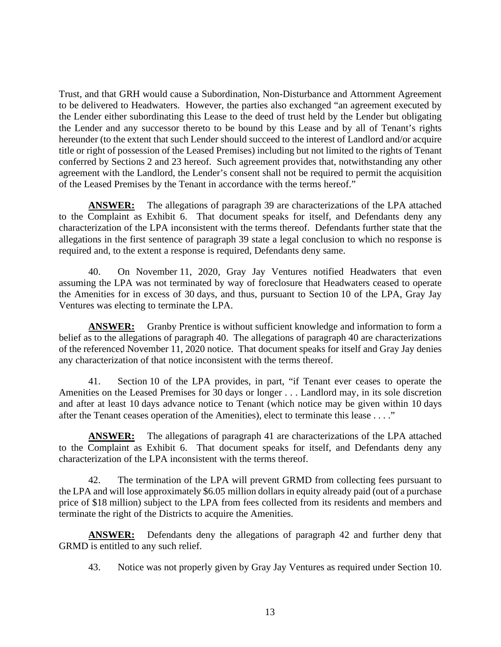Trust, and that GRH would cause a Subordination, Non-Disturbance and Attornment Agreement to be delivered to Headwaters. However, the parties also exchanged "an agreement executed by the Lender either subordinating this Lease to the deed of trust held by the Lender but obligating the Lender and any successor thereto to be bound by this Lease and by all of Tenant's rights hereunder (to the extent that such Lender should succeed to the interest of Landlord and/or acquire title or right of possession of the Leased Premises) including but not limited to the rights of Tenant conferred by Sections 2 and 23 hereof. Such agreement provides that, notwithstanding any other agreement with the Landlord, the Lender's consent shall not be required to permit the acquisition of the Leased Premises by the Tenant in accordance with the terms hereof."

**ANSWER:** The allegations of paragraph 39 are characterizations of the LPA attached to the Complaint as Exhibit 6. That document speaks for itself, and Defendants deny any characterization of the LPA inconsistent with the terms thereof. Defendants further state that the allegations in the first sentence of paragraph 39 state a legal conclusion to which no response is required and, to the extent a response is required, Defendants deny same.

40. On November 11, 2020, Gray Jay Ventures notified Headwaters that even assuming the LPA was not terminated by way of foreclosure that Headwaters ceased to operate the Amenities for in excess of 30 days, and thus, pursuant to Section 10 of the LPA, Gray Jay Ventures was electing to terminate the LPA.

**ANSWER:** Granby Prentice is without sufficient knowledge and information to form a belief as to the allegations of paragraph 40. The allegations of paragraph 40 are characterizations of the referenced November 11, 2020 notice. That document speaks for itself and Gray Jay denies any characterization of that notice inconsistent with the terms thereof.

41. Section 10 of the LPA provides, in part, "if Tenant ever ceases to operate the Amenities on the Leased Premises for 30 days or longer . . . Landlord may, in its sole discretion and after at least 10 days advance notice to Tenant (which notice may be given within 10 days after the Tenant ceases operation of the Amenities), elect to terminate this lease . . . ."

**ANSWER:** The allegations of paragraph 41 are characterizations of the LPA attached to the Complaint as Exhibit 6. That document speaks for itself, and Defendants deny any characterization of the LPA inconsistent with the terms thereof.

42. The termination of the LPA will prevent GRMD from collecting fees pursuant to the LPA and will lose approximately \$6.05 million dollars in equity already paid (out of a purchase price of \$18 million) subject to the LPA from fees collected from its residents and members and terminate the right of the Districts to acquire the Amenities.

**ANSWER:** Defendants deny the allegations of paragraph 42 and further deny that GRMD is entitled to any such relief.

43. Notice was not properly given by Gray Jay Ventures as required under Section 10.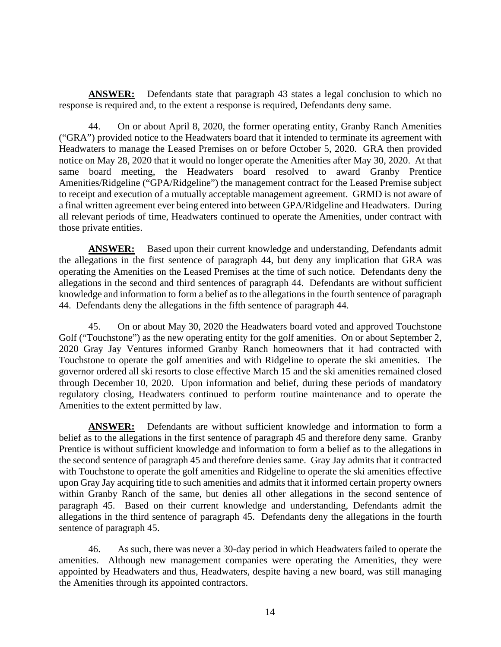**ANSWER:** Defendants state that paragraph 43 states a legal conclusion to which no response is required and, to the extent a response is required, Defendants deny same.

44. On or about April 8, 2020, the former operating entity, Granby Ranch Amenities ("GRA") provided notice to the Headwaters board that it intended to terminate its agreement with Headwaters to manage the Leased Premises on or before October 5, 2020. GRA then provided notice on May 28, 2020 that it would no longer operate the Amenities after May 30, 2020. At that same board meeting, the Headwaters board resolved to award Granby Prentice Amenities/Ridgeline ("GPA/Ridgeline") the management contract for the Leased Premise subject to receipt and execution of a mutually acceptable management agreement. GRMD is not aware of a final written agreement ever being entered into between GPA/Ridgeline and Headwaters. During all relevant periods of time, Headwaters continued to operate the Amenities, under contract with those private entities.

**ANSWER:** Based upon their current knowledge and understanding, Defendants admit the allegations in the first sentence of paragraph 44, but deny any implication that GRA was operating the Amenities on the Leased Premises at the time of such notice. Defendants deny the allegations in the second and third sentences of paragraph 44. Defendants are without sufficient knowledge and information to form a belief as to the allegations in the fourth sentence of paragraph 44. Defendants deny the allegations in the fifth sentence of paragraph 44.

45. On or about May 30, 2020 the Headwaters board voted and approved Touchstone Golf ("Touchstone") as the new operating entity for the golf amenities. On or about September 2, 2020 Gray Jay Ventures informed Granby Ranch homeowners that it had contracted with Touchstone to operate the golf amenities and with Ridgeline to operate the ski amenities. The governor ordered all ski resorts to close effective March 15 and the ski amenities remained closed through December 10, 2020. Upon information and belief, during these periods of mandatory regulatory closing, Headwaters continued to perform routine maintenance and to operate the Amenities to the extent permitted by law.

**ANSWER:** Defendants are without sufficient knowledge and information to form a belief as to the allegations in the first sentence of paragraph 45 and therefore deny same. Granby Prentice is without sufficient knowledge and information to form a belief as to the allegations in the second sentence of paragraph 45 and therefore denies same. Gray Jay admits that it contracted with Touchstone to operate the golf amenities and Ridgeline to operate the ski amenities effective upon Gray Jay acquiring title to such amenities and admits that it informed certain property owners within Granby Ranch of the same, but denies all other allegations in the second sentence of paragraph 45. Based on their current knowledge and understanding, Defendants admit the allegations in the third sentence of paragraph 45. Defendants deny the allegations in the fourth sentence of paragraph 45.

46. As such, there was never a 30-day period in which Headwaters failed to operate the amenities. Although new management companies were operating the Amenities, they were appointed by Headwaters and thus, Headwaters, despite having a new board, was still managing the Amenities through its appointed contractors.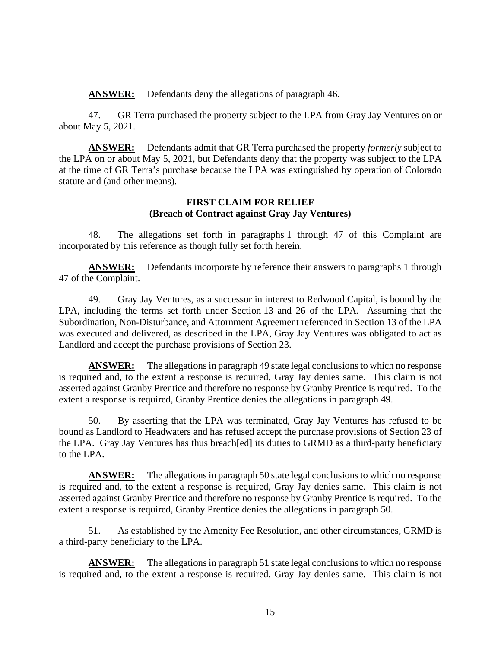**ANSWER:** Defendants deny the allegations of paragraph 46.

47. GR Terra purchased the property subject to the LPA from Gray Jay Ventures on or about May 5, 2021.

**ANSWER:** Defendants admit that GR Terra purchased the property *formerly* subject to the LPA on or about May 5, 2021, but Defendants deny that the property was subject to the LPA at the time of GR Terra's purchase because the LPA was extinguished by operation of Colorado statute and (and other means).

### **FIRST CLAIM FOR RELIEF (Breach of Contract against Gray Jay Ventures)**

48. The allegations set forth in paragraphs 1 through 47 of this Complaint are incorporated by this reference as though fully set forth herein.

**ANSWER:** Defendants incorporate by reference their answers to paragraphs 1 through 47 of the Complaint.

49. Gray Jay Ventures, as a successor in interest to Redwood Capital, is bound by the LPA, including the terms set forth under Section 13 and 26 of the LPA. Assuming that the Subordination, Non-Disturbance, and Attornment Agreement referenced in Section 13 of the LPA was executed and delivered, as described in the LPA, Gray Jay Ventures was obligated to act as Landlord and accept the purchase provisions of Section 23.

**ANSWER:** The allegations in paragraph 49 state legal conclusions to which no response is required and, to the extent a response is required, Gray Jay denies same. This claim is not asserted against Granby Prentice and therefore no response by Granby Prentice is required. To the extent a response is required, Granby Prentice denies the allegations in paragraph 49.

50. By asserting that the LPA was terminated, Gray Jay Ventures has refused to be bound as Landlord to Headwaters and has refused accept the purchase provisions of Section 23 of the LPA. Gray Jay Ventures has thus breach[ed] its duties to GRMD as a third-party beneficiary to the LPA.

**ANSWER:** The allegations in paragraph 50 state legal conclusions to which no response is required and, to the extent a response is required, Gray Jay denies same. This claim is not asserted against Granby Prentice and therefore no response by Granby Prentice is required. To the extent a response is required, Granby Prentice denies the allegations in paragraph 50.

51. As established by the Amenity Fee Resolution, and other circumstances, GRMD is a third-party beneficiary to the LPA.

**ANSWER:** The allegations in paragraph 51 state legal conclusions to which no response is required and, to the extent a response is required, Gray Jay denies same. This claim is not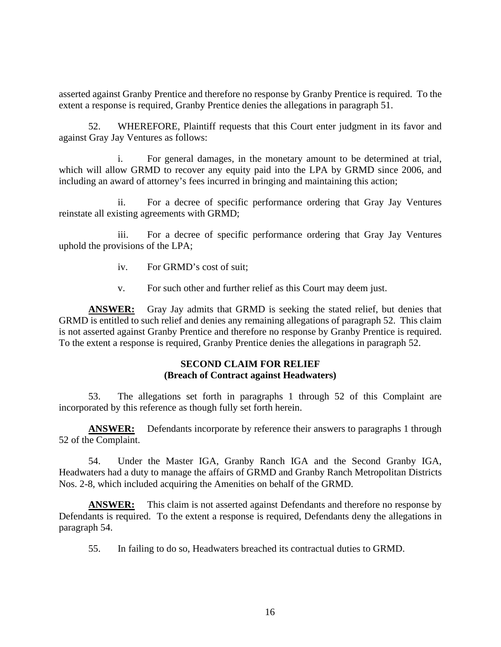asserted against Granby Prentice and therefore no response by Granby Prentice is required. To the extent a response is required, Granby Prentice denies the allegations in paragraph 51.

52. WHEREFORE, Plaintiff requests that this Court enter judgment in its favor and against Gray Jay Ventures as follows:

i. For general damages, in the monetary amount to be determined at trial, which will allow GRMD to recover any equity paid into the LPA by GRMD since 2006, and including an award of attorney's fees incurred in bringing and maintaining this action;

ii. For a decree of specific performance ordering that Gray Jay Ventures reinstate all existing agreements with GRMD;

iii. For a decree of specific performance ordering that Gray Jay Ventures uphold the provisions of the LPA;

- iv. For GRMD's cost of suit;
- v. For such other and further relief as this Court may deem just.

**ANSWER:** Gray Jay admits that GRMD is seeking the stated relief, but denies that GRMD is entitled to such relief and denies any remaining allegations of paragraph 52. This claim is not asserted against Granby Prentice and therefore no response by Granby Prentice is required. To the extent a response is required, Granby Prentice denies the allegations in paragraph 52.

## **SECOND CLAIM FOR RELIEF (Breach of Contract against Headwaters)**

53. The allegations set forth in paragraphs 1 through 52 of this Complaint are incorporated by this reference as though fully set forth herein.

**ANSWER:** Defendants incorporate by reference their answers to paragraphs 1 through 52 of the Complaint.

54. Under the Master IGA, Granby Ranch IGA and the Second Granby IGA, Headwaters had a duty to manage the affairs of GRMD and Granby Ranch Metropolitan Districts Nos. 2-8, which included acquiring the Amenities on behalf of the GRMD.

**ANSWER:** This claim is not asserted against Defendants and therefore no response by Defendants is required. To the extent a response is required, Defendants deny the allegations in paragraph 54.

55. In failing to do so, Headwaters breached its contractual duties to GRMD.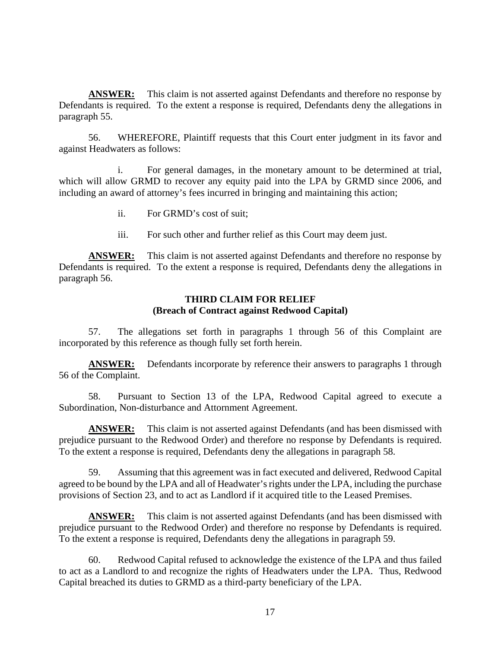**ANSWER:** This claim is not asserted against Defendants and therefore no response by Defendants is required. To the extent a response is required, Defendants deny the allegations in paragraph 55.

56. WHEREFORE, Plaintiff requests that this Court enter judgment in its favor and against Headwaters as follows:

i. For general damages, in the monetary amount to be determined at trial, which will allow GRMD to recover any equity paid into the LPA by GRMD since 2006, and including an award of attorney's fees incurred in bringing and maintaining this action;

- ii. For GRMD's cost of suit;
- iii. For such other and further relief as this Court may deem just.

**ANSWER:** This claim is not asserted against Defendants and therefore no response by Defendants is required. To the extent a response is required, Defendants deny the allegations in paragraph 56.

#### **THIRD CLAIM FOR RELIEF (Breach of Contract against Redwood Capital)**

57. The allegations set forth in paragraphs 1 through 56 of this Complaint are incorporated by this reference as though fully set forth herein.

**ANSWER:** Defendants incorporate by reference their answers to paragraphs 1 through 56 of the Complaint.

58. Pursuant to Section 13 of the LPA, Redwood Capital agreed to execute a Subordination, Non-disturbance and Attornment Agreement.

**ANSWER:** This claim is not asserted against Defendants (and has been dismissed with prejudice pursuant to the Redwood Order) and therefore no response by Defendants is required. To the extent a response is required, Defendants deny the allegations in paragraph 58.

59. Assuming that this agreement was in fact executed and delivered, Redwood Capital agreed to be bound by the LPA and all of Headwater's rights under the LPA, including the purchase provisions of Section 23, and to act as Landlord if it acquired title to the Leased Premises.

**ANSWER:** This claim is not asserted against Defendants (and has been dismissed with prejudice pursuant to the Redwood Order) and therefore no response by Defendants is required. To the extent a response is required, Defendants deny the allegations in paragraph 59.

60. Redwood Capital refused to acknowledge the existence of the LPA and thus failed to act as a Landlord to and recognize the rights of Headwaters under the LPA. Thus, Redwood Capital breached its duties to GRMD as a third-party beneficiary of the LPA.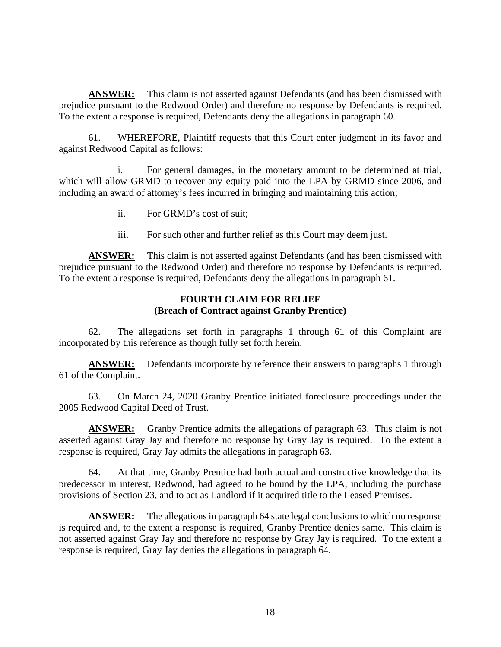**ANSWER:** This claim is not asserted against Defendants (and has been dismissed with prejudice pursuant to the Redwood Order) and therefore no response by Defendants is required. To the extent a response is required, Defendants deny the allegations in paragraph 60.

61. WHEREFORE, Plaintiff requests that this Court enter judgment in its favor and against Redwood Capital as follows:

i. For general damages, in the monetary amount to be determined at trial, which will allow GRMD to recover any equity paid into the LPA by GRMD since 2006, and including an award of attorney's fees incurred in bringing and maintaining this action;

- ii. For GRMD's cost of suit;
- iii. For such other and further relief as this Court may deem just.

**ANSWER:** This claim is not asserted against Defendants (and has been dismissed with prejudice pursuant to the Redwood Order) and therefore no response by Defendants is required. To the extent a response is required, Defendants deny the allegations in paragraph 61.

#### **FOURTH CLAIM FOR RELIEF (Breach of Contract against Granby Prentice)**

62. The allegations set forth in paragraphs 1 through 61 of this Complaint are incorporated by this reference as though fully set forth herein.

**ANSWER:** Defendants incorporate by reference their answers to paragraphs 1 through 61 of the Complaint.

63. On March 24, 2020 Granby Prentice initiated foreclosure proceedings under the 2005 Redwood Capital Deed of Trust.

**ANSWER:** Granby Prentice admits the allegations of paragraph 63. This claim is not asserted against Gray Jay and therefore no response by Gray Jay is required. To the extent a response is required, Gray Jay admits the allegations in paragraph 63.

64. At that time, Granby Prentice had both actual and constructive knowledge that its predecessor in interest, Redwood, had agreed to be bound by the LPA, including the purchase provisions of Section 23, and to act as Landlord if it acquired title to the Leased Premises.

**ANSWER:** The allegations in paragraph 64 state legal conclusions to which no response is required and, to the extent a response is required, Granby Prentice denies same. This claim is not asserted against Gray Jay and therefore no response by Gray Jay is required. To the extent a response is required, Gray Jay denies the allegations in paragraph 64.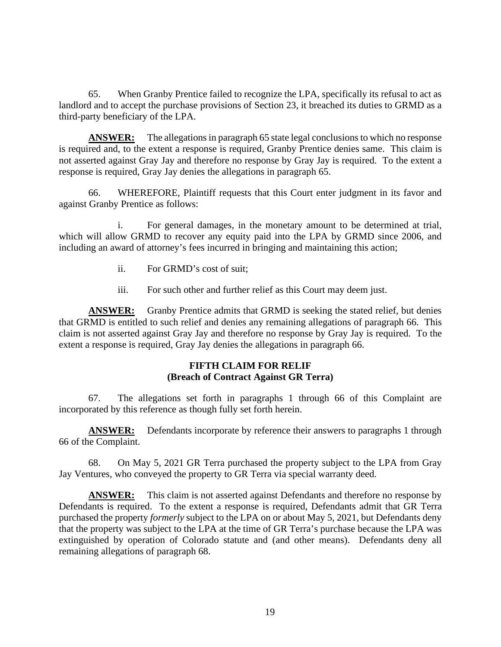65. When Granby Prentice failed to recognize the LPA, specifically its refusal to act as landlord and to accept the purchase provisions of Section 23, it breached its duties to GRMD as a third-party beneficiary of the LPA.

**ANSWER:** The allegations in paragraph 65 state legal conclusions to which no response is required and, to the extent a response is required, Granby Prentice denies same. This claim is not asserted against Gray Jay and therefore no response by Gray Jay is required. To the extent a response is required, Gray Jay denies the allegations in paragraph 65.

66. WHEREFORE, Plaintiff requests that this Court enter judgment in its favor and against Granby Prentice as follows:

i. For general damages, in the monetary amount to be determined at trial, which will allow GRMD to recover any equity paid into the LPA by GRMD since 2006, and including an award of attorney's fees incurred in bringing and maintaining this action;

- ii. For GRMD's cost of suit;
- iii. For such other and further relief as this Court may deem just.

**ANSWER:** Granby Prentice admits that GRMD is seeking the stated relief, but denies that GRMD is entitled to such relief and denies any remaining allegations of paragraph 66. This claim is not asserted against Gray Jay and therefore no response by Gray Jay is required. To the extent a response is required, Gray Jay denies the allegations in paragraph 66.

#### **FIFTH CLAIM FOR RELIF (Breach of Contract Against GR Terra)**

67. The allegations set forth in paragraphs 1 through 66 of this Complaint are incorporated by this reference as though fully set forth herein.

**ANSWER:** Defendants incorporate by reference their answers to paragraphs 1 through 66 of the Complaint.

68. On May 5, 2021 GR Terra purchased the property subject to the LPA from Gray Jay Ventures, who conveyed the property to GR Terra via special warranty deed.

**ANSWER:** This claim is not asserted against Defendants and therefore no response by Defendants is required. To the extent a response is required, Defendants admit that GR Terra purchased the property *formerly* subject to the LPA on or about May 5, 2021, but Defendants deny that the property was subject to the LPA at the time of GR Terra's purchase because the LPA was extinguished by operation of Colorado statute and (and other means). Defendants deny all remaining allegations of paragraph 68.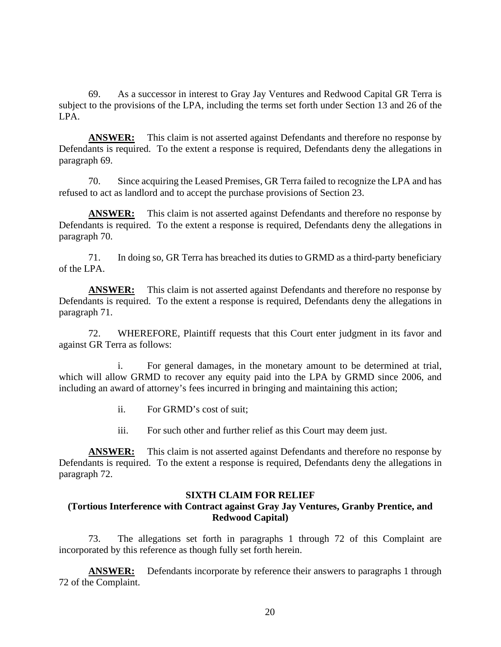69. As a successor in interest to Gray Jay Ventures and Redwood Capital GR Terra is subject to the provisions of the LPA, including the terms set forth under Section 13 and 26 of the LPA.

**ANSWER:** This claim is not asserted against Defendants and therefore no response by Defendants is required. To the extent a response is required, Defendants deny the allegations in paragraph 69.

70. Since acquiring the Leased Premises, GR Terra failed to recognize the LPA and has refused to act as landlord and to accept the purchase provisions of Section 23.

**ANSWER:** This claim is not asserted against Defendants and therefore no response by Defendants is required. To the extent a response is required, Defendants deny the allegations in paragraph 70.

71. In doing so, GR Terra has breached its duties to GRMD as a third-party beneficiary of the LPA.

**ANSWER:** This claim is not asserted against Defendants and therefore no response by Defendants is required. To the extent a response is required, Defendants deny the allegations in paragraph 71.

72. WHEREFORE, Plaintiff requests that this Court enter judgment in its favor and against GR Terra as follows:

i. For general damages, in the monetary amount to be determined at trial, which will allow GRMD to recover any equity paid into the LPA by GRMD since 2006, and including an award of attorney's fees incurred in bringing and maintaining this action;

- ii. For GRMD's cost of suit;
- iii. For such other and further relief as this Court may deem just.

**ANSWER:** This claim is not asserted against Defendants and therefore no response by Defendants is required. To the extent a response is required, Defendants deny the allegations in paragraph 72.

## **SIXTH CLAIM FOR RELIEF**

# **(Tortious Interference with Contract against Gray Jay Ventures, Granby Prentice, and Redwood Capital)**

73. The allegations set forth in paragraphs 1 through 72 of this Complaint are incorporated by this reference as though fully set forth herein.

**ANSWER:** Defendants incorporate by reference their answers to paragraphs 1 through 72 of the Complaint.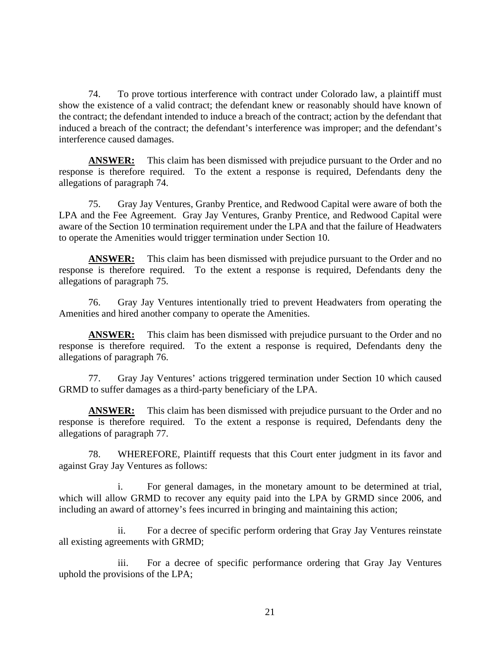74. To prove tortious interference with contract under Colorado law, a plaintiff must show the existence of a valid contract; the defendant knew or reasonably should have known of the contract; the defendant intended to induce a breach of the contract; action by the defendant that induced a breach of the contract; the defendant's interference was improper; and the defendant's interference caused damages.

**ANSWER:** This claim has been dismissed with prejudice pursuant to the Order and no response is therefore required. To the extent a response is required, Defendants deny the allegations of paragraph 74.

75. Gray Jay Ventures, Granby Prentice, and Redwood Capital were aware of both the LPA and the Fee Agreement. Gray Jay Ventures, Granby Prentice, and Redwood Capital were aware of the Section 10 termination requirement under the LPA and that the failure of Headwaters to operate the Amenities would trigger termination under Section 10.

**ANSWER:** This claim has been dismissed with prejudice pursuant to the Order and no response is therefore required. To the extent a response is required, Defendants deny the allegations of paragraph 75.

76. Gray Jay Ventures intentionally tried to prevent Headwaters from operating the Amenities and hired another company to operate the Amenities.

**ANSWER:** This claim has been dismissed with prejudice pursuant to the Order and no response is therefore required. To the extent a response is required, Defendants deny the allegations of paragraph 76.

77. Gray Jay Ventures' actions triggered termination under Section 10 which caused GRMD to suffer damages as a third-party beneficiary of the LPA.

**ANSWER:** This claim has been dismissed with prejudice pursuant to the Order and no response is therefore required. To the extent a response is required, Defendants deny the allegations of paragraph 77.

78. WHEREFORE, Plaintiff requests that this Court enter judgment in its favor and against Gray Jay Ventures as follows:

i. For general damages, in the monetary amount to be determined at trial, which will allow GRMD to recover any equity paid into the LPA by GRMD since 2006, and including an award of attorney's fees incurred in bringing and maintaining this action;

ii. For a decree of specific perform ordering that Gray Jay Ventures reinstate all existing agreements with GRMD;

iii. For a decree of specific performance ordering that Gray Jay Ventures uphold the provisions of the LPA;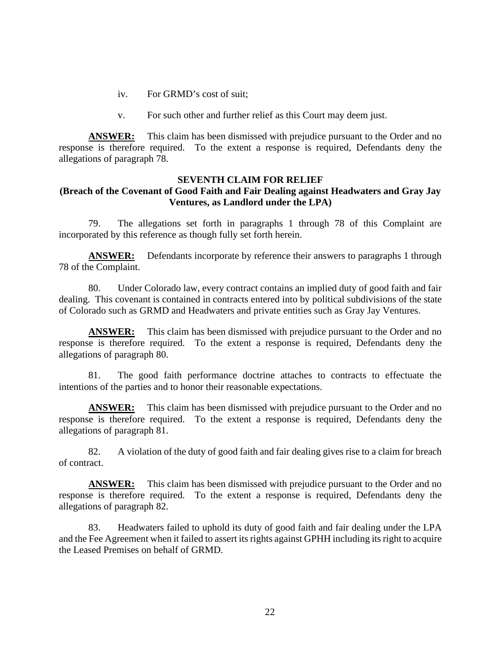- iv. For GRMD's cost of suit;
- v. For such other and further relief as this Court may deem just.

**ANSWER:** This claim has been dismissed with prejudice pursuant to the Order and no response is therefore required. To the extent a response is required, Defendants deny the allegations of paragraph 78.

## **SEVENTH CLAIM FOR RELIEF (Breach of the Covenant of Good Faith and Fair Dealing against Headwaters and Gray Jay Ventures, as Landlord under the LPA)**

79. The allegations set forth in paragraphs 1 through 78 of this Complaint are incorporated by this reference as though fully set forth herein.

**ANSWER:** Defendants incorporate by reference their answers to paragraphs 1 through 78 of the Complaint.

80. Under Colorado law, every contract contains an implied duty of good faith and fair dealing. This covenant is contained in contracts entered into by political subdivisions of the state of Colorado such as GRMD and Headwaters and private entities such as Gray Jay Ventures.

**ANSWER:** This claim has been dismissed with prejudice pursuant to the Order and no response is therefore required. To the extent a response is required, Defendants deny the allegations of paragraph 80.

81. The good faith performance doctrine attaches to contracts to effectuate the intentions of the parties and to honor their reasonable expectations.

**ANSWER:** This claim has been dismissed with prejudice pursuant to the Order and no response is therefore required. To the extent a response is required, Defendants deny the allegations of paragraph 81.

82. A violation of the duty of good faith and fair dealing gives rise to a claim for breach of contract.

**ANSWER:** This claim has been dismissed with prejudice pursuant to the Order and no response is therefore required. To the extent a response is required, Defendants deny the allegations of paragraph 82.

83. Headwaters failed to uphold its duty of good faith and fair dealing under the LPA and the Fee Agreement when it failed to assert its rights against GPHH including its right to acquire the Leased Premises on behalf of GRMD.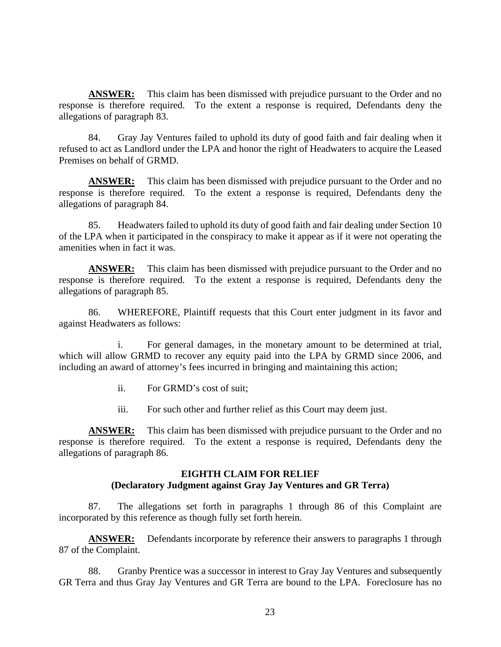**ANSWER:** This claim has been dismissed with prejudice pursuant to the Order and no response is therefore required. To the extent a response is required, Defendants deny the allegations of paragraph 83.

84. Gray Jay Ventures failed to uphold its duty of good faith and fair dealing when it refused to act as Landlord under the LPA and honor the right of Headwaters to acquire the Leased Premises on behalf of GRMD.

**ANSWER:** This claim has been dismissed with prejudice pursuant to the Order and no response is therefore required. To the extent a response is required, Defendants deny the allegations of paragraph 84.

85. Headwaters failed to uphold its duty of good faith and fair dealing under Section 10 of the LPA when it participated in the conspiracy to make it appear as if it were not operating the amenities when in fact it was.

**ANSWER:** This claim has been dismissed with prejudice pursuant to the Order and no response is therefore required. To the extent a response is required, Defendants deny the allegations of paragraph 85.

86. WHEREFORE, Plaintiff requests that this Court enter judgment in its favor and against Headwaters as follows:

i. For general damages, in the monetary amount to be determined at trial, which will allow GRMD to recover any equity paid into the LPA by GRMD since 2006, and including an award of attorney's fees incurred in bringing and maintaining this action;

- ii. For GRMD's cost of suit;
- iii. For such other and further relief as this Court may deem just.

**ANSWER:** This claim has been dismissed with prejudice pursuant to the Order and no response is therefore required. To the extent a response is required, Defendants deny the allegations of paragraph 86.

# **EIGHTH CLAIM FOR RELIEF (Declaratory Judgment against Gray Jay Ventures and GR Terra)**

87. The allegations set forth in paragraphs 1 through 86 of this Complaint are incorporated by this reference as though fully set forth herein.

**ANSWER:** Defendants incorporate by reference their answers to paragraphs 1 through 87 of the Complaint.

88. Granby Prentice was a successor in interest to Gray Jay Ventures and subsequently GR Terra and thus Gray Jay Ventures and GR Terra are bound to the LPA. Foreclosure has no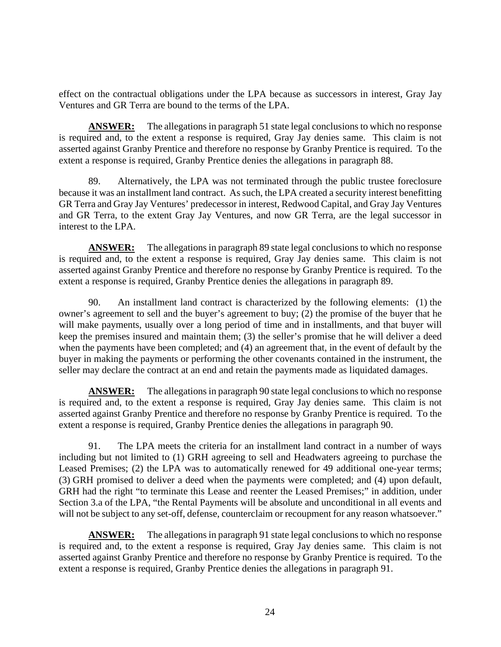effect on the contractual obligations under the LPA because as successors in interest, Gray Jay Ventures and GR Terra are bound to the terms of the LPA.

**ANSWER:** The allegations in paragraph 51 state legal conclusions to which no response is required and, to the extent a response is required, Gray Jay denies same. This claim is not asserted against Granby Prentice and therefore no response by Granby Prentice is required. To the extent a response is required, Granby Prentice denies the allegations in paragraph 88.

89. Alternatively, the LPA was not terminated through the public trustee foreclosure because it was an installment land contract. As such, the LPA created a security interest benefitting GR Terra and Gray Jay Ventures' predecessor in interest, Redwood Capital, and Gray Jay Ventures and GR Terra, to the extent Gray Jay Ventures, and now GR Terra, are the legal successor in interest to the LPA.

**ANSWER:** The allegations in paragraph 89 state legal conclusions to which no response is required and, to the extent a response is required, Gray Jay denies same. This claim is not asserted against Granby Prentice and therefore no response by Granby Prentice is required. To the extent a response is required, Granby Prentice denies the allegations in paragraph 89.

90. An installment land contract is characterized by the following elements: (1) the owner's agreement to sell and the buyer's agreement to buy; (2) the promise of the buyer that he will make payments, usually over a long period of time and in installments, and that buyer will keep the premises insured and maintain them; (3) the seller's promise that he will deliver a deed when the payments have been completed; and (4) an agreement that, in the event of default by the buyer in making the payments or performing the other covenants contained in the instrument, the seller may declare the contract at an end and retain the payments made as liquidated damages.

**ANSWER:** The allegations in paragraph 90 state legal conclusions to which no response is required and, to the extent a response is required, Gray Jay denies same. This claim is not asserted against Granby Prentice and therefore no response by Granby Prentice is required. To the extent a response is required, Granby Prentice denies the allegations in paragraph 90.

91. The LPA meets the criteria for an installment land contract in a number of ways including but not limited to (1) GRH agreeing to sell and Headwaters agreeing to purchase the Leased Premises; (2) the LPA was to automatically renewed for 49 additional one-year terms; (3) GRH promised to deliver a deed when the payments were completed; and (4) upon default, GRH had the right "to terminate this Lease and reenter the Leased Premises;" in addition, under Section 3.a of the LPA, "the Rental Payments will be absolute and unconditional in all events and will not be subject to any set-off, defense, counterclaim or recoupment for any reason whatsoever."

**ANSWER:** The allegations in paragraph 91 state legal conclusions to which no response is required and, to the extent a response is required, Gray Jay denies same. This claim is not asserted against Granby Prentice and therefore no response by Granby Prentice is required. To the extent a response is required, Granby Prentice denies the allegations in paragraph 91.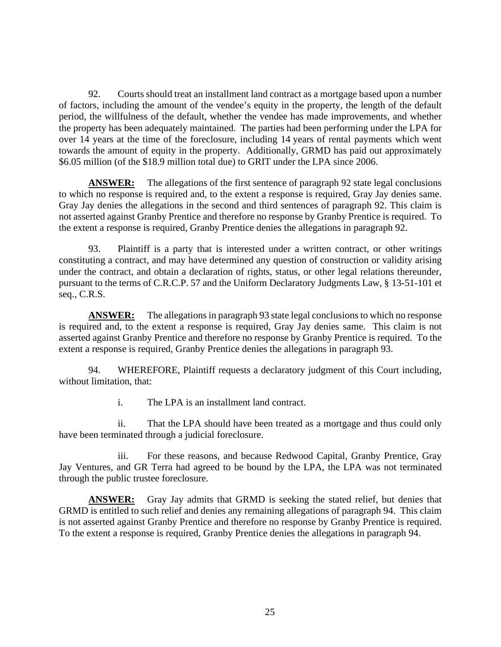92. Courts should treat an installment land contract as a mortgage based upon a number of factors, including the amount of the vendee's equity in the property, the length of the default period, the willfulness of the default, whether the vendee has made improvements, and whether the property has been adequately maintained. The parties had been performing under the LPA for over 14 years at the time of the foreclosure, including 14 years of rental payments which went towards the amount of equity in the property. Additionally, GRMD has paid out approximately \$6.05 million (of the \$18.9 million total due) to GRIT under the LPA since 2006.

**ANSWER:** The allegations of the first sentence of paragraph 92 state legal conclusions to which no response is required and, to the extent a response is required, Gray Jay denies same. Gray Jay denies the allegations in the second and third sentences of paragraph 92. This claim is not asserted against Granby Prentice and therefore no response by Granby Prentice is required. To the extent a response is required, Granby Prentice denies the allegations in paragraph 92.

93. Plaintiff is a party that is interested under a written contract, or other writings constituting a contract, and may have determined any question of construction or validity arising under the contract, and obtain a declaration of rights, status, or other legal relations thereunder, pursuant to the terms of C.R.C.P. 57 and the Uniform Declaratory Judgments Law, § 13-51-101 et seq., C.R.S.

**ANSWER:** The allegations in paragraph 93 state legal conclusions to which no response is required and, to the extent a response is required, Gray Jay denies same. This claim is not asserted against Granby Prentice and therefore no response by Granby Prentice is required. To the extent a response is required, Granby Prentice denies the allegations in paragraph 93.

94. WHEREFORE, Plaintiff requests a declaratory judgment of this Court including, without limitation, that:

i. The LPA is an installment land contract.

ii. That the LPA should have been treated as a mortgage and thus could only have been terminated through a judicial foreclosure.

iii. For these reasons, and because Redwood Capital, Granby Prentice, Gray Jay Ventures, and GR Terra had agreed to be bound by the LPA, the LPA was not terminated through the public trustee foreclosure.

**ANSWER:** Gray Jay admits that GRMD is seeking the stated relief, but denies that GRMD is entitled to such relief and denies any remaining allegations of paragraph 94. This claim is not asserted against Granby Prentice and therefore no response by Granby Prentice is required. To the extent a response is required, Granby Prentice denies the allegations in paragraph 94.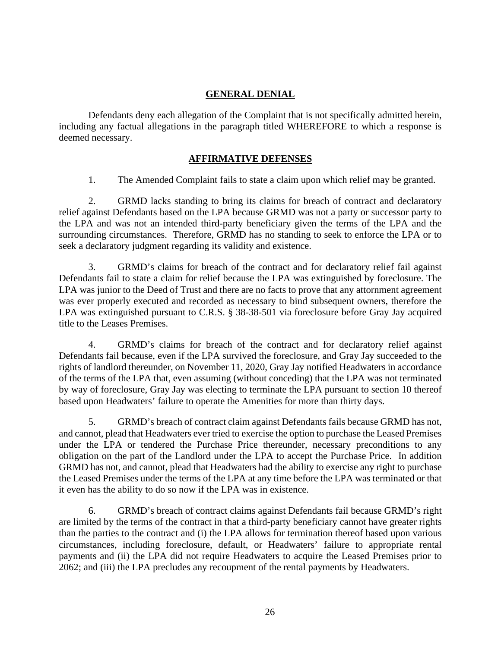# **GENERAL DENIAL**

Defendants deny each allegation of the Complaint that is not specifically admitted herein, including any factual allegations in the paragraph titled WHEREFORE to which a response is deemed necessary.

# **AFFIRMATIVE DEFENSES**

1. The Amended Complaint fails to state a claim upon which relief may be granted.

2. GRMD lacks standing to bring its claims for breach of contract and declaratory relief against Defendants based on the LPA because GRMD was not a party or successor party to the LPA and was not an intended third-party beneficiary given the terms of the LPA and the surrounding circumstances. Therefore, GRMD has no standing to seek to enforce the LPA or to seek a declaratory judgment regarding its validity and existence.

3. GRMD's claims for breach of the contract and for declaratory relief fail against Defendants fail to state a claim for relief because the LPA was extinguished by foreclosure. The LPA was junior to the Deed of Trust and there are no facts to prove that any attornment agreement was ever properly executed and recorded as necessary to bind subsequent owners, therefore the LPA was extinguished pursuant to C.R.S. § 38-38-501 via foreclosure before Gray Jay acquired title to the Leases Premises.

4. GRMD's claims for breach of the contract and for declaratory relief against Defendants fail because, even if the LPA survived the foreclosure, and Gray Jay succeeded to the rights of landlord thereunder, on November 11, 2020, Gray Jay notified Headwaters in accordance of the terms of the LPA that, even assuming (without conceding) that the LPA was not terminated by way of foreclosure, Gray Jay was electing to terminate the LPA pursuant to section 10 thereof based upon Headwaters' failure to operate the Amenities for more than thirty days.

5. GRMD's breach of contract claim against Defendants fails because GRMD has not, and cannot, plead that Headwaters ever tried to exercise the option to purchase the Leased Premises under the LPA or tendered the Purchase Price thereunder, necessary preconditions to any obligation on the part of the Landlord under the LPA to accept the Purchase Price. In addition GRMD has not, and cannot, plead that Headwaters had the ability to exercise any right to purchase the Leased Premises under the terms of the LPA at any time before the LPA was terminated or that it even has the ability to do so now if the LPA was in existence.

6. GRMD's breach of contract claims against Defendants fail because GRMD's right are limited by the terms of the contract in that a third-party beneficiary cannot have greater rights than the parties to the contract and (i) the LPA allows for termination thereof based upon various circumstances, including foreclosure, default, or Headwaters' failure to appropriate rental payments and (ii) the LPA did not require Headwaters to acquire the Leased Premises prior to 2062; and (iii) the LPA precludes any recoupment of the rental payments by Headwaters.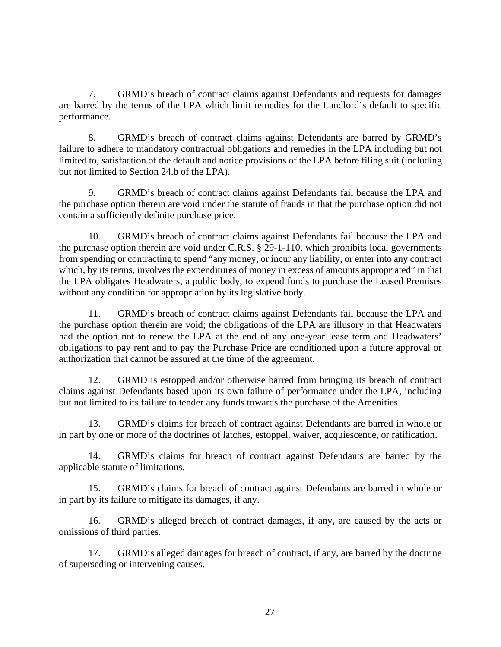7. GRMD's breach of contract claims against Defendants and requests for damages are barred by the terms of the LPA which limit remedies for the Landlord's default to specific performance.

8. GRMD's breach of contract claims against Defendants are barred by GRMD's failure to adhere to mandatory contractual obligations and remedies in the LPA including but not limited to, satisfaction of the default and notice provisions of the LPA before filing suit (including but not limited to Section 24.b of the LPA).

9. GRMD's breach of contract claims against Defendants fail because the LPA and the purchase option therein are void under the statute of frauds in that the purchase option did not contain a sufficiently definite purchase price.

10. GRMD's breach of contract claims against Defendants fail because the LPA and the purchase option therein are void under C.R.S. § 29-1-110, which prohibits local governments from spending or contracting to spend "any money, or incur any liability, or enter into any contract which, by its terms, involves the expenditures of money in excess of amounts appropriated" in that the LPA obligates Headwaters, a public body, to expend funds to purchase the Leased Premises without any condition for appropriation by its legislative body.

11. GRMD's breach of contract claims against Defendants fail because the LPA and the purchase option therein are void; the obligations of the LPA are illusory in that Headwaters had the option not to renew the LPA at the end of any one-year lease term and Headwaters' obligations to pay rent and to pay the Purchase Price are conditioned upon a future approval or authorization that cannot be assured at the time of the agreement.

12. GRMD is estopped and/or otherwise barred from bringing its breach of contract claims against Defendants based upon its own failure of performance under the LPA, including but not limited to its failure to tender any funds towards the purchase of the Amenities.

13. GRMD's claims for breach of contract against Defendants are barred in whole or in part by one or more of the doctrines of latches, estoppel, waiver, acquiescence, or ratification.

14. GRMD's claims for breach of contract against Defendants are barred by the applicable statute of limitations.

15. GRMD's claims for breach of contract against Defendants are barred in whole or in part by its failure to mitigate its damages, if any.

16. GRMD's alleged breach of contract damages, if any, are caused by the acts or omissions of third parties.

17. GRMD's alleged damages for breach of contract, if any, are barred by the doctrine of superseding or intervening causes.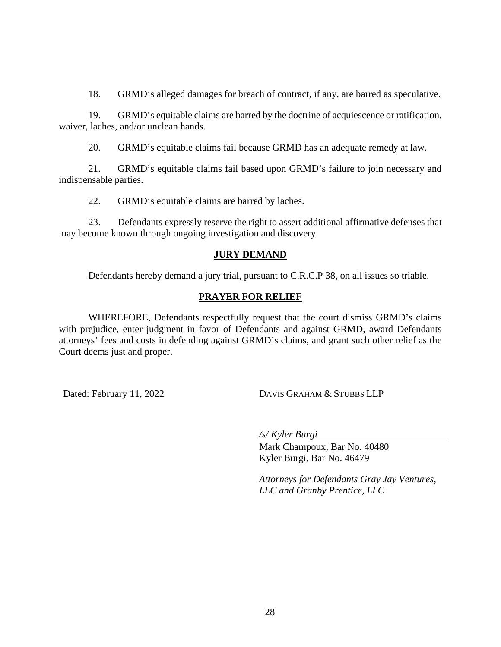18. GRMD's alleged damages for breach of contract, if any, are barred as speculative.

19. GRMD's equitable claims are barred by the doctrine of acquiescence or ratification, waiver, laches, and/or unclean hands.

20. GRMD's equitable claims fail because GRMD has an adequate remedy at law.

21. GRMD's equitable claims fail based upon GRMD's failure to join necessary and indispensable parties.

22. GRMD's equitable claims are barred by laches.

23. Defendants expressly reserve the right to assert additional affirmative defenses that may become known through ongoing investigation and discovery.

## **JURY DEMAND**

Defendants hereby demand a jury trial, pursuant to C.R.C.P 38, on all issues so triable.

## **PRAYER FOR RELIEF**

WHEREFORE, Defendants respectfully request that the court dismiss GRMD's claims with prejudice, enter judgment in favor of Defendants and against GRMD, award Defendants attorneys' fees and costs in defending against GRMD's claims, and grant such other relief as the Court deems just and proper.

Dated: February 11, 2022 DAVIS GRAHAM & STUBBS LLP

*/s/ Kyler Burgi* 

Mark Champoux, Bar No. 40480 Kyler Burgi, Bar No. 46479

*Attorneys for Defendants Gray Jay Ventures, LLC and Granby Prentice, LLC*